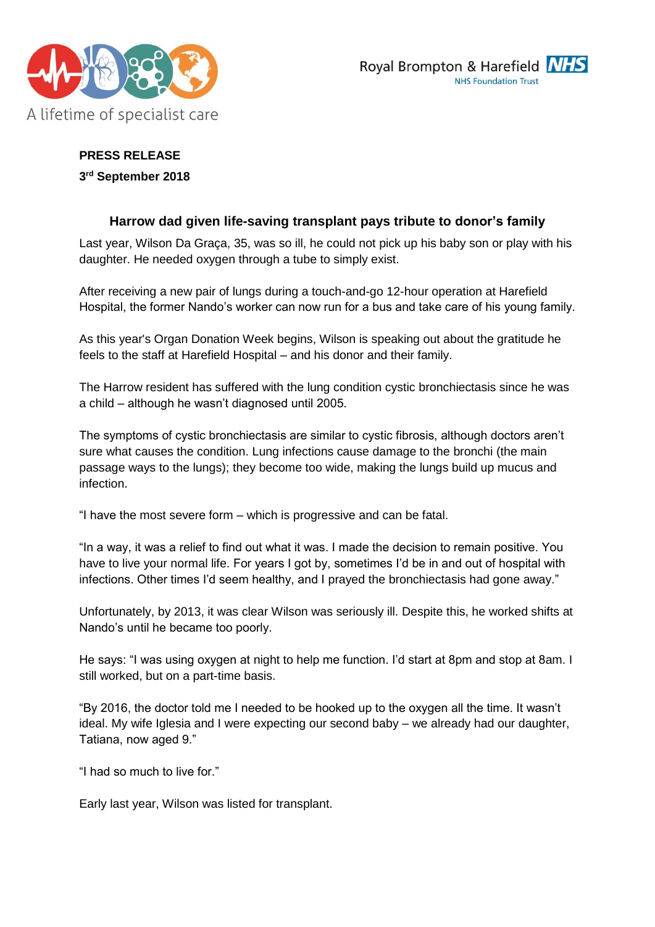



## **PRESS RELEASE 3 rd September 2018**

## **Harrow dad given life-saving transplant pays tribute to donor's family**

Last year, Wilson Da Graça, 35, was so ill, he could not pick up his baby son or play with his daughter. He needed oxygen through a tube to simply exist.

After receiving a new pair of lungs during a touch-and-go 12-hour operation at Harefield Hospital, the former Nando's worker can now run for a bus and take care of his young family.

As this year's Organ Donation Week begins, Wilson is speaking out about the gratitude he feels to the staff at Harefield Hospital – and his donor and their family.

The Harrow resident has suffered with the lung condition cystic bronchiectasis since he was a child – although he wasn't diagnosed until 2005.

The symptoms of cystic bronchiectasis are similar to cystic fibrosis, although doctors aren't sure what causes the condition. Lung infections cause damage to the bronchi (the main passage ways to the lungs); they become too wide, making the lungs build up mucus and infection.

"I have the most severe form – which is progressive and can be fatal.

"In a way, it was a relief to find out what it was. I made the decision to remain positive. You have to live your normal life. For years I got by, sometimes I'd be in and out of hospital with infections. Other times I'd seem healthy, and I prayed the bronchiectasis had gone away."

Unfortunately, by 2013, it was clear Wilson was seriously ill. Despite this, he worked shifts at Nando's until he became too poorly.

He says: "I was using oxygen at night to help me function. I'd start at 8pm and stop at 8am. I still worked, but on a part-time basis.

"By 2016, the doctor told me I needed to be hooked up to the oxygen all the time. It wasn't ideal. My wife Iglesia and I were expecting our second baby – we already had our daughter, Tatiana, now aged 9."

"I had so much to live for."

Early last year, Wilson was listed for transplant.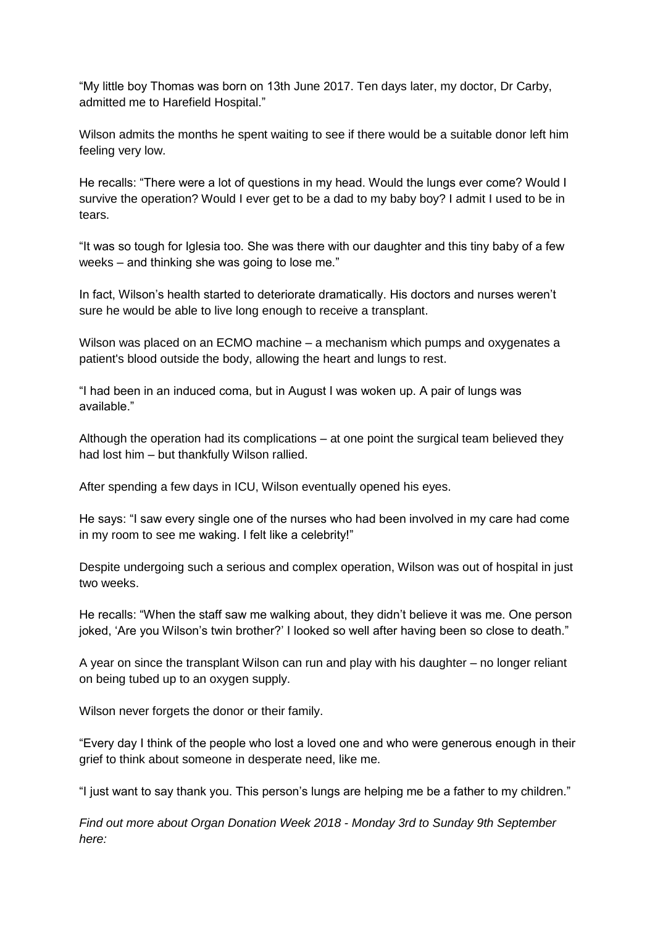"My little boy Thomas was born on 13th June 2017. Ten days later, my doctor, Dr Carby, admitted me to Harefield Hospital."

Wilson admits the months he spent waiting to see if there would be a suitable donor left him feeling very low.

He recalls: "There were a lot of questions in my head. Would the lungs ever come? Would I survive the operation? Would I ever get to be a dad to my baby boy? I admit I used to be in tears.

"It was so tough for Iglesia too. She was there with our daughter and this tiny baby of a few weeks – and thinking she was going to lose me."

In fact, Wilson's health started to deteriorate dramatically. His doctors and nurses weren't sure he would be able to live long enough to receive a transplant.

Wilson was placed on an ECMO machine – a mechanism which pumps and oxygenates a patient's blood outside the body, allowing the heart and lungs to rest.

"I had been in an induced coma, but in August I was woken up. A pair of lungs was available."

Although the operation had its complications – at one point the surgical team believed they had lost him – but thankfully Wilson rallied.

After spending a few days in ICU, Wilson eventually opened his eyes.

He says: "I saw every single one of the nurses who had been involved in my care had come in my room to see me waking. I felt like a celebrity!"

Despite undergoing such a serious and complex operation, Wilson was out of hospital in just two weeks.

He recalls: "When the staff saw me walking about, they didn't believe it was me. One person joked, 'Are you Wilson's twin brother?' I looked so well after having been so close to death."

A year on since the transplant Wilson can run and play with his daughter – no longer reliant on being tubed up to an oxygen supply.

Wilson never forgets the donor or their family.

"Every day I think of the people who lost a loved one and who were generous enough in their grief to think about someone in desperate need, like me.

"I just want to say thank you. This person's lungs are helping me be a father to my children."

*Find out more about Organ Donation Week 2018 - Monday 3rd to Sunday 9th September here:*